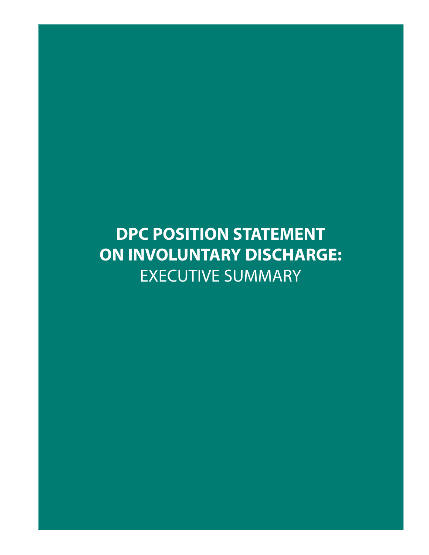# **DPC POSITION STATEMENT ON INVOLUNTARY DISCHARGE:** EXECUTIVE SUMMARY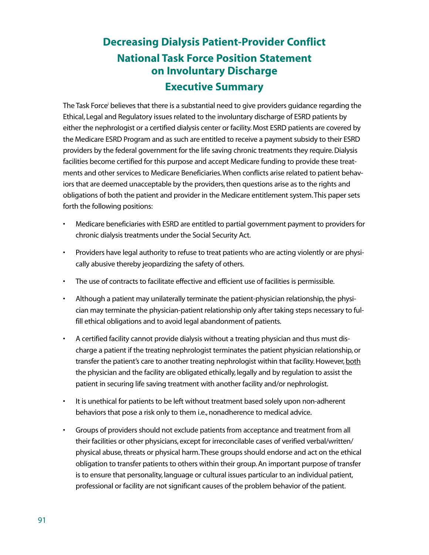## **Decreasing Dialysis Patient-Provider Conflict National Task Force Position Statement on Involuntary Discharge Executive Summary**

The Task Force' believes that there is a substantial need to give providers guidance regarding the Ethical, Legal and Regulatory issues related to the involuntary discharge of ESRD patients by either the nephrologist or a certified dialysis center or facility. Most ESRD patients are covered by the Medicare ESRD Program and as such are entitled to receive a payment subsidy to their ESRD providers by the federal government for the life saving chronic treatments they require. Dialysis facilities become certified for this purpose and accept Medicare funding to provide these treatments and other services to Medicare Beneficiaries.When conflicts arise related to patient behaviors that are deemed unacceptable by the providers, then questions arise as to the rights and obligations of both the patient and provider in the Medicare entitlement system.This paper sets forth the following positions:

- Medicare beneficiaries with ESRD are entitled to partial government payment to providers for chronic dialysis treatments under the Social Security Act.
- Providers have legal authority to refuse to treat patients who are acting violently or are physically abusive thereby jeopardizing the safety of others.
- The use of contracts to facilitate effective and efficient use of facilities is permissible.
- Although a patient may unilaterally terminate the patient-physician relationship, the physician may terminate the physician-patient relationship only after taking steps necessary to fulfill ethical obligations and to avoid legal abandonment of patients.
- A certified facility cannot provide dialysis without a treating physician and thus must discharge a patient if the treating nephrologist terminates the patient physician relationship, or transfer the patient's care to another treating nephrologist within that facility. However, both the physician and the facility are obligated ethically, legally and by regulation to assist the patient in securing life saving treatment with another facility and/or nephrologist.
- It is unethical for patients to be left without treatment based solely upon non-adherent behaviors that pose a risk only to them i.e., nonadherence to medical advice.
- Groups of providers should not exclude patients from acceptance and treatment from all their facilities or other physicians, except for irreconcilable cases of verified verbal/written/ physical abuse, threats or physical harm.These groups should endorse and act on the ethical obligation to transfer patients to others within their group. An important purpose of transfer is to ensure that personality, language or cultural issues particular to an individual patient, professional or facility are not significant causes of the problem behavior of the patient.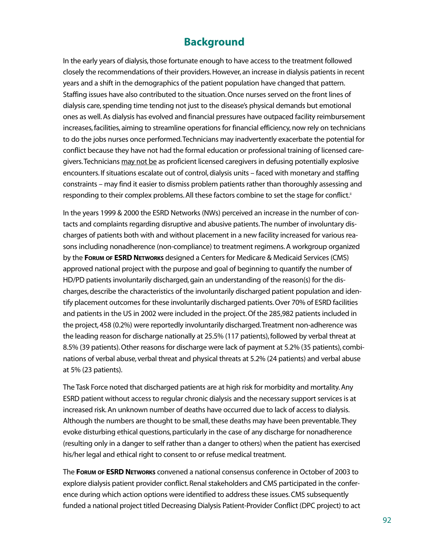## **Background**

In the early years of dialysis, those fortunate enough to have access to the treatment followed closely the recommendations of their providers. However, an increase in dialysis patients in recent years and a shift in the demographics of the patient population have changed that pattern. Staffing issues have also contributed to the situation. Once nurses served on the front lines of dialysis care, spending time tending not just to the disease's physical demands but emotional ones as well. As dialysis has evolved and financial pressures have outpaced facility reimbursement increases, facilities, aiming to streamline operations for financial efficiency, now rely on technicians to do the jobs nurses once performed.Technicians may inadvertently exacerbate the potential for conflict because they have not had the formal education or professional training of licensed caregivers. Technicians may not be as proficient licensed caregivers in defusing potentially explosive encounters. If situations escalate out of control, dialysis units – faced with monetary and staffing constraints – may find it easier to dismiss problem patients rather than thoroughly assessing and responding to their complex problems. All these factors combine to set the stage for conflict.<sup>ii</sup>

In the years 1999 & 2000 the ESRD Networks (NWs) perceived an increase in the number of contacts and complaints regarding disruptive and abusive patients.The number of involuntary discharges of patients both with and without placement in a new facility increased for various reasons including nonadherence (non-compliance) to treatment regimens. A workgroup organized by the **FORUM OF ESRD NETWORKS** designed a Centers for Medicare & Medicaid Services (CMS) approved national project with the purpose and goal of beginning to quantify the number of HD/PD patients involuntarily discharged, gain an understanding of the reason(s) for the discharges, describe the characteristics of the involuntarily discharged patient population and identify placement outcomes for these involuntarily discharged patients. Over 70% of ESRD facilities and patients in the US in 2002 were included in the project. Of the 285,982 patients included in the project, 458 (0.2%) were reportedly involuntarily discharged.Treatment non-adherence was the leading reason for discharge nationally at 25.5% (117 patients), followed by verbal threat at 8.5% (39 patients). Other reasons for discharge were lack of payment at 5.2% (35 patients), combinations of verbal abuse, verbal threat and physical threats at 5.2% (24 patients) and verbal abuse at 5% (23 patients).

The Task Force noted that discharged patients are at high risk for morbidity and mortality. Any ESRD patient without access to regular chronic dialysis and the necessary support services is at increased risk. An unknown number of deaths have occurred due to lack of access to dialysis. Although the numbers are thought to be small, these deaths may have been preventable.They evoke disturbing ethical questions, particularly in the case of any discharge for nonadherence (resulting only in a danger to self rather than a danger to others) when the patient has exercised his/her legal and ethical right to consent to or refuse medical treatment.

The **FORUM OF ESRD NETWORKS** convened a national consensus conference in October of 2003 to explore dialysis patient provider conflict. Renal stakeholders and CMS participated in the conference during which action options were identified to address these issues. CMS subsequently funded a national project titled Decreasing Dialysis Patient-Provider Conflict (DPC project) to act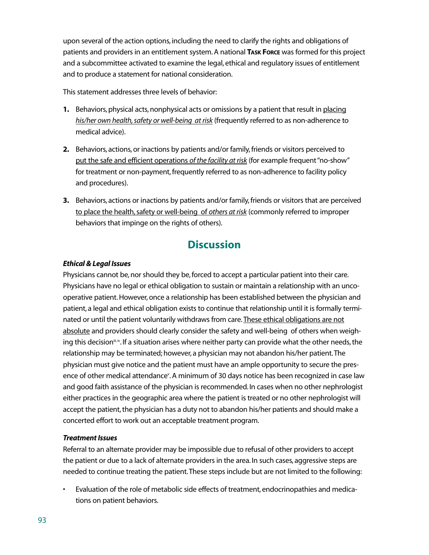upon several of the action options, including the need to clarify the rights and obligations of patients and providers in an entitlement system. A national **TASK FORCE** was formed for this project and a subcommittee activated to examine the legal, ethical and regulatory issues of entitlement and to produce a statement for national consideration.

This statement addresses three levels of behavior:

- **1.** Behaviors, physical acts, nonphysical acts or omissions by a patient that result in placing *his/her own health,safety or well-being at risk* (frequently referred to as non-adherence to medical advice).
- **2.** Behaviors, actions, or inactions by patients and/or family, friends or visitors perceived to put the safe and efficient operations *of the facility at risk* (for example frequent"no-show" for treatment or non-payment, frequently referred to as non-adherence to facility policy and procedures).
- **3.** Behaviors, actions or inactions by patients and/or family, friends or visitors that are perceived to place the health,safety or well-being of *others at risk* (commonly referred to improper behaviors that impinge on the rights of others).

## **Discussion**

#### *Ethical & Legal Issues*

Physicians cannot be, nor should they be, forced to accept a particular patient into their care. Physicians have no legal or ethical obligation to sustain or maintain a relationship with an uncooperative patient. However, once a relationship has been established between the physician and patient, a legal and ethical obligation exists to continue that relationship until it is formally terminated or until the patient voluntarily withdraws from care. These ethical obligations are not absolute and providers should clearly consider the safety and well-being of others when weighing this decision<sup> $m_i$ </sup>, If a situation arises where neither party can provide what the other needs, the relationship may be terminated; however, a physician may not abandon his/her patient.The physician must give notice and the patient must have an ample opportunity to secure the presence of other medical attendance<sup>v</sup>. A minimum of 30 days notice has been recognized in case law and good faith assistance of the physician is recommended. In cases when no other nephrologist either practices in the geographic area where the patient is treated or no other nephrologist will accept the patient, the physician has a duty not to abandon his/her patients and should make a concerted effort to work out an acceptable treatment program.

#### *Treatment Issues*

Referral to an alternate provider may be impossible due to refusal of other providers to accept the patient or due to a lack of alternate providers in the area. In such cases, aggressive steps are needed to continue treating the patient.These steps include but are not limited to the following:

• Evaluation of the role of metabolic side effects of treatment, endocrinopathies and medications on patient behaviors.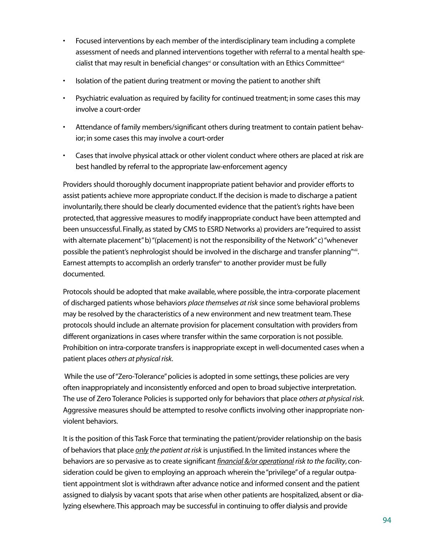- Focused interventions by each member of the interdisciplinary team including a complete assessment of needs and planned interventions together with referral to a mental health specialist that may result in beneficial changes<sup>vi</sup> or consultation with an Ethics Committeevii
- Isolation of the patient during treatment or moving the patient to another shift
- Psychiatric evaluation as required by facility for continued treatment; in some cases this may involve a court-order
- Attendance of family members/significant others during treatment to contain patient behavior; in some cases this may involve a court-order
- Cases that involve physical attack or other violent conduct where others are placed at risk are best handled by referral to the appropriate law-enforcement agency

Providers should thoroughly document inappropriate patient behavior and provider efforts to assist patients achieve more appropriate conduct. If the decision is made to discharge a patient involuntarily, there should be clearly documented evidence that the patient's rights have been protected, that aggressive measures to modify inappropriate conduct have been attempted and been unsuccessful. Finally, as stated by CMS to ESRD Networks a) providers are"required to assist with alternate placement"b) "(placement) is not the responsibility of the Network"c) "whenever possible the patient's nephrologist should be involved in the discharge and transfer planning"viii. Earnest attempts to accomplish an orderly transfer<sup> $x$ </sup> to another provider must be fully documented.

Protocols should be adopted that make available, where possible, the intra-corporate placement of discharged patients whose behaviors *place themselves at risk* since some behavioral problems may be resolved by the characteristics of a new environment and new treatment team.These protocols should include an alternate provision for placement consultation with providers from different organizations in cases where transfer within the same corporation is not possible. Prohibition on intra-corporate transfers is inappropriate except in well-documented cases when a patient places *others at physical risk*.

While the use of "Zero-Tolerance" policies is adopted in some settings, these policies are very often inappropriately and inconsistently enforced and open to broad subjective interpretation. The use of Zero Tolerance Policies is supported only for behaviors that place *others at physical risk*. Aggressive measures should be attempted to resolve conflicts involving other inappropriate nonviolent behaviors.

It is the position of this Task Force that terminating the patient/provider relationship on the basis of behaviors that place *only the patient at risk* is unjustified. In the limited instances where the behaviors are so pervasive as to create significant *financial &/or operational risk to the facility*, consideration could be given to employing an approach wherein the "privilege"of a regular outpatient appointment slot is withdrawn after advance notice and informed consent and the patient assigned to dialysis by vacant spots that arise when other patients are hospitalized, absent or dialyzing elsewhere.This approach may be successful in continuing to offer dialysis and provide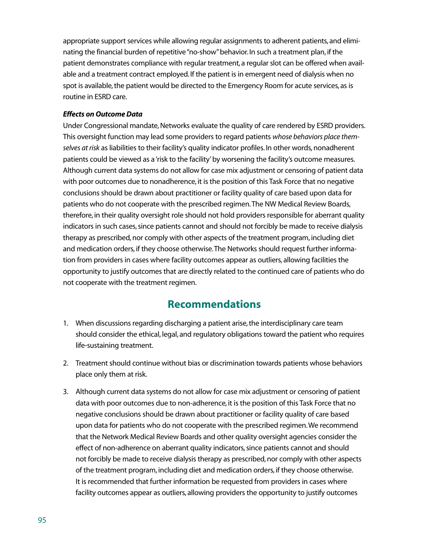appropriate support services while allowing regular assignments to adherent patients, and eliminating the financial burden of repetitive"no-show"behavior. In such a treatment plan, if the patient demonstrates compliance with regular treatment, a regular slot can be offered when available and a treatment contract employed. If the patient is in emergent need of dialysis when no spot is available, the patient would be directed to the Emergency Room for acute services, as is routine in ESRD care.

#### *Effects on Outcome Data*

Under Congressional mandate, Networks evaluate the quality of care rendered by ESRD providers. This oversight function may lead some providers to regard patients *whose behaviors place themselves at risk* as liabilities to their facility's quality indicator profiles. In other words, nonadherent patients could be viewed as a 'risk to the facility' by worsening the facility's outcome measures. Although current data systems do not allow for case mix adjustment or censoring of patient data with poor outcomes due to nonadherence, it is the position of this Task Force that no negative conclusions should be drawn about practitioner or facility quality of care based upon data for patients who do not cooperate with the prescribed regimen.The NW Medical Review Boards, therefore, in their quality oversight role should not hold providers responsible for aberrant quality indicators in such cases, since patients cannot and should not forcibly be made to receive dialysis therapy as prescribed, nor comply with other aspects of the treatment program, including diet and medication orders, if they choose otherwise.The Networks should request further information from providers in cases where facility outcomes appear as outliers, allowing facilities the opportunity to justify outcomes that are directly related to the continued care of patients who do not cooperate with the treatment regimen.

### **Recommendations**

- 1. When discussions regarding discharging a patient arise, the interdisciplinary care team should consider the ethical, legal, and regulatory obligations toward the patient who requires life-sustaining treatment.
- 2. Treatment should continue without bias or discrimination towards patients whose behaviors place only them at risk.
- 3. Although current data systems do not allow for case mix adjustment or censoring of patient data with poor outcomes due to non-adherence, it is the position of this Task Force that no negative conclusions should be drawn about practitioner or facility quality of care based upon data for patients who do not cooperate with the prescribed regimen.We recommend that the Network Medical Review Boards and other quality oversight agencies consider the effect of non-adherence on aberrant quality indicators, since patients cannot and should not forcibly be made to receive dialysis therapy as prescribed, nor comply with other aspects of the treatment program, including diet and medication orders, if they choose otherwise. It is recommended that further information be requested from providers in cases where facility outcomes appear as outliers, allowing providers the opportunity to justify outcomes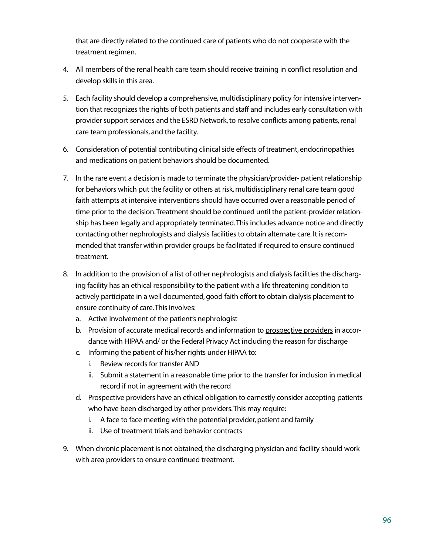that are directly related to the continued care of patients who do not cooperate with the treatment regimen.

- 4. All members of the renal health care team should receive training in conflict resolution and develop skills in this area.
- 5. Each facility should develop a comprehensive, multidisciplinary policy for intensive intervention that recognizes the rights of both patients and staff and includes early consultation with provider support services and the ESRD Network, to resolve conflicts among patients, renal care team professionals, and the facility.
- 6. Consideration of potential contributing clinical side effects of treatment, endocrinopathies and medications on patient behaviors should be documented.
- 7. In the rare event a decision is made to terminate the physician/provider- patient relationship for behaviors which put the facility or others at risk, multidisciplinary renal care team good faith attempts at intensive interventions should have occurred over a reasonable period of time prior to the decision.Treatment should be continued until the patient-provider relationship has been legally and appropriately terminated.This includes advance notice and directly contacting other nephrologists and dialysis facilities to obtain alternate care. It is recommended that transfer within provider groups be facilitated if required to ensure continued treatment.
- 8. In addition to the provision of a list of other nephrologists and dialysis facilities the discharging facility has an ethical responsibility to the patient with a life threatening condition to actively participate in a well documented, good faith effort to obtain dialysis placement to ensure continuity of care.This involves:
	- a. Active involvement of the patient's nephrologist
	- b. Provision of accurate medical records and information to prospective providers in accordance with HIPAA and/ or the Federal Privacy Act including the reason for discharge
	- c. Informing the patient of his/her rights under HIPAA to:
		- i. Review records for transfer AND
		- ii. Submit a statement in a reasonable time prior to the transfer for inclusion in medical record if not in agreement with the record
	- d. Prospective providers have an ethical obligation to earnestly consider accepting patients who have been discharged by other providers.This may require:
		- i. A face to face meeting with the potential provider, patient and family
		- ii. Use of treatment trials and behavior contracts
- 9. When chronic placement is not obtained, the discharging physician and facility should work with area providers to ensure continued treatment.